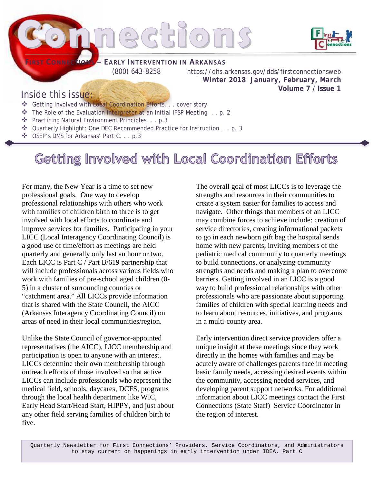

Inside this issue:

- Getting Involved with Local Coordination Efforts. . . cover story
- The Role of the Evaluation Interpreter at an Initial IFSP Meeting. . . p. 2
- \* Practicing Natural Environment Principles. . . p.3
- Quarterly Highlight: One DEC Recommended Practice for Instruction. . . p. 3
- OSEP's DMS for Arkansas' Part C. . . p.3

Getting Involved with Local Coordination Efforts

For many, the New Year is a time to set new professional goals. One way to develop professional relationships with others who work with families of children birth to three is to get involved with local efforts to coordinate and improve services for families. Participating in your LICC (Local Interagency Coordinating Council) is a good use of time/effort as meetings are held quarterly and generally only last an hour or two. Each LICC is Part C / Part B/619 partnership that will include professionals across various fields who work with families of pre-school aged children (0- 5) in a cluster of surrounding counties or "catchment area." All LICCs provide information that is shared with the State Council, the AICC (Arkansas Interagency Coordinating Council) on areas of need in their local communities/region.

Unlike the State Council of governor-appointed representatives (the AICC), LICC membership and participation is open to anyone with an interest. LICCs determine their own membership through outreach efforts of those involved so that active LICCs can include professionals who represent the medical field, schools, daycares, DCFS, programs through the local health department like WIC, Early Head Start/Head Start, HIPPY, and just about any other field serving families of children birth to five.

The overall goal of most LICCs is to leverage the strengths and resources in their communities to create a system easier for families to access and navigate. Other things that members of an LICC may combine forces to achieve include: creation of service directories, creating informational packets to go in each newborn gift bag the hospital sends home with new parents, inviting members of the pediatric medical community to quarterly meetings to build connections, or analyzing community strengths and needs and making a plan to overcome barriers. Getting involved in an LICC is a good way to build professional relationships with other professionals who are passionate about supporting families of children with special learning needs and to learn about resources, initiatives, and programs in a multi-county area.

**Volume 7 / Issue 1**

Early intervention direct service providers offer a unique insight at these meetings since they work directly in the homes with families and may be acutely aware of challenges parents face in meeting basic family needs, accessing desired events within the community, accessing needed services, and developing parent support networks. For additional information about LICC meetings contact the First Connections (State Staff) Service Coordinator in the region of interest.

Quarterly Newsletter for First Connections' Providers, Service Coordinators, and Administrators to stay current on happenings in early intervention under IDEA, Part C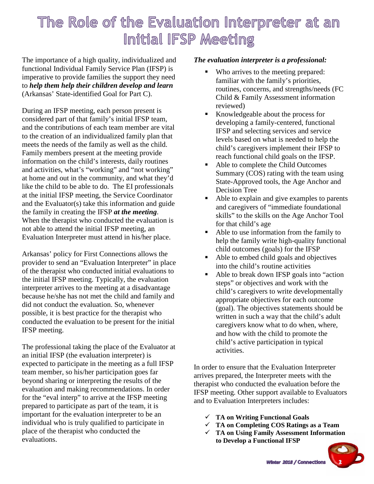### The Role of the Evaluation Interpreter at an Initial IFSP Meeting

The importance of a high quality, individualized and functional Individual Family Service Plan (IFSP) is imperative to provide families the support they need to *help them help their children develop and learn* (Arkansas' State-identified Goal for Part C).

During an IFSP meeting, each person present is considered part of that family's initial IFSP team, and the contributions of each team member are vital to the creation of an individualized family plan that meets the needs of the family as well as the child. Family members present at the meeting provide information on the child's interests, daily routines and activities, what's "working" and "not working" at home and out in the community, and what they'd like the child to be able to do. The EI professionals at the initial IFSP meeting, the Service Coordinator and the Evaluator(s) take this information and guide the family in creating the IFSP *at the meeting*. When the therapist who conducted the evaluation is not able to attend the initial IFSP meeting, an Evaluation Interpreter must attend in his/her place.

Arkansas' policy for First Connections allows the provider to send an "Evaluation Interpreter" in place of the therapist who conducted initial evaluations to the initial IFSP meeting. Typically, the evaluation interpreter arrives to the meeting at a disadvantage because he/she has not met the child and family and did not conduct the evaluation. So, whenever possible, it is best practice for the therapist who conducted the evaluation to be present for the initial IFSP meeting.

The professional taking the place of the Evaluator at an initial IFSP (the evaluation interpreter) is expected to participate in the meeting as a full IFSP team member, so his/her participation goes far beyond sharing or interpreting the results of the evaluation and making recommendations. In order for the "eval interp" to arrive at the IFSP meeting prepared to participate as part of the team, it is important for the evaluation interpreter to be an individual who is truly qualified to participate in place of the therapist who conducted the evaluations.

#### *The evaluation interpreter is a professional:*

- Who arrives to the meeting prepared: familiar with the family's priorities, routines, concerns, and strengths/needs (FC Child & Family Assessment information reviewed)
- Knowledgeable about the process for developing a family-centered, functional IFSP and selecting services and service levels based on what is needed to help the child's caregivers implement their IFSP to reach functional child goals on the IFSP.
- Able to complete the Child Outcomes Summary (COS) rating with the team using State-Approved tools, the Age Anchor and Decision Tree
- Able to explain and give examples to parents and caregivers of "immediate foundational skills" to the skills on the Age Anchor Tool for that child's age
- Able to use information from the family to help the family write high-quality functional child outcomes (goals) for the IFSP
- Able to embed child goals and objectives into the child's routine activities
- Able to break down IFSP goals into "action" steps" or objectives and work with the child's caregivers to write developmentally appropriate objectives for each outcome (goal). The objectives statements should be written in such a way that the child's adult caregivers know what to do when, where, and how with the child to promote the child's active participation in typical activities.

In order to ensure that the Evaluation Interpreter arrives prepared, the Interpreter meets with the therapist who conducted the evaluation before the IFSP meeting. Other support available to Evaluators and to Evaluation Interpreters includes:

- **TA on Writing Functional Goals**
- **TA on Completing COS Ratings as a Team**
- **TA on Using Family Assessment Information to Develop a Functional IFSP**

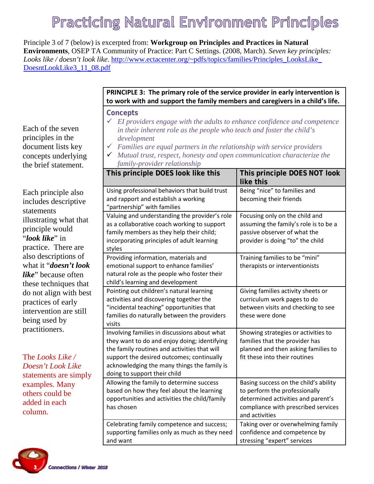# **Practicing Natural Environment Principles**

Principle 3 of 7 (below) is excerpted from: **Workgroup on Principles and Practices in Natural Environments**, OSEP TA Community of Practice: Part C Settings. (2008, March). *Seven key principles: Looks like / doesn't look like*. [http://www.ectacenter.org/~pdfs/topics/families/Principles\\_LooksLike\\_](http://www.ectacenter.org/%7Epdfs/topics/families/Principles_LooksLike_DoesntLookLike3_11_08.pdf) [DoesntLookLike3\\_11\\_08.pdf](http://www.ectacenter.org/%7Epdfs/topics/families/Principles_LooksLike_DoesntLookLike3_11_08.pdf)

#### **PRINCIPLE 3: The primary role of the service provider in early intervention is to work with and support the family members and caregivers in a child's life.**

**Concepts** 

- *EI providers engage with the adults to enhance confidence and competence in their inherent role as the people who teach and foster the child's development*
- *Families are equal partners in the relationship with service providers*
- *Mutual trust, respect, honesty and open communication characterize the family-provider relationship*

|                             | This principle DOES look like this                                                                                                                                                                                                                                       | This principle DOES NOT look<br>like this                                                                                                                             |
|-----------------------------|--------------------------------------------------------------------------------------------------------------------------------------------------------------------------------------------------------------------------------------------------------------------------|-----------------------------------------------------------------------------------------------------------------------------------------------------------------------|
|                             | Using professional behaviors that build trust<br>and rapport and establish a working<br>"partnership" with families                                                                                                                                                      | Being "nice" to families and<br>becoming their friends                                                                                                                |
|                             | Valuing and understanding the provider's role<br>as a collaborative coach working to support<br>family members as they help their child;<br>incorporating principles of adult learning<br>styles                                                                         | Focusing only on the child and<br>assuming the family's role is to be a<br>passive observer of what the<br>provider is doing "to" the child                           |
| $\mathcal{C}_{\mathcal{C}}$ | Providing information, materials and<br>emotional support to enhance families'<br>natural role as the people who foster their<br>child's learning and development                                                                                                        | Training families to be "mini"<br>therapists or interventionists                                                                                                      |
| ;t                          | Pointing out children's natural learning<br>activities and discovering together the<br>"incidental teaching" opportunities that<br>families do naturally between the providers<br>visits                                                                                 | Giving families activity sheets or<br>curriculum work pages to do<br>between visits and checking to see<br>these were done                                            |
|                             | Involving families in discussions about what<br>they want to do and enjoy doing; identifying<br>the family routines and activities that will<br>support the desired outcomes; continually<br>acknowledging the many things the family is<br>doing to support their child | Showing strategies or activities to<br>families that the provider has<br>planned and then asking families to<br>fit these into their routines                         |
|                             | Allowing the family to determine success<br>based on how they feel about the learning<br>opportunities and activities the child/family<br>has chosen                                                                                                                     | Basing success on the child's ability<br>to perform the professionally<br>determined activities and parent's<br>compliance with prescribed services<br>and activities |
|                             | Celebrating family competence and success;<br>supporting families only as much as they need<br>and want                                                                                                                                                                  | Taking over or overwhelming family<br>confidence and competence by<br>stressing "expert" services                                                                     |

Each of the seven principles in the document lists key concepts underlying the brief statement.

Each principle also includes descriptive statements illustrating what that principle would "*look like*" in practice. There are also descriptions of what it "*doesn't look like*" because often these techniques that do not align with best practices of early intervention are still being used by practitioners.

The *Looks Like / Doesn't Look Like*  statements are simply examples. Many others could be added in each column.